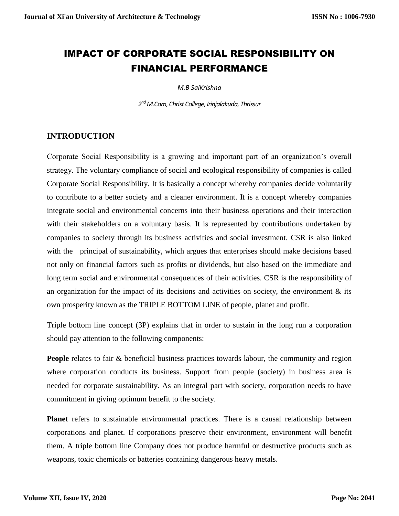# IMPACT OF CORPORATE SOCIAL RESPONSIBILITY ON FINANCIAL PERFORMANCE

*M.B SaiKrishna*

*2 ndM.Com, Christ College, Irinjalakuda, Thrissur*

# **INTRODUCTION**

Corporate Social Responsibility is a growing and important part of an organization's overall strategy. The voluntary compliance of social and ecological responsibility of companies is called Corporate Social Responsibility. It is basically a concept whereby companies decide voluntarily to contribute to a better society and a cleaner environment. It is a concept whereby companies integrate social and environmental concerns into their business operations and their interaction with their stakeholders on a voluntary basis. It is represented by contributions undertaken by companies to society through its business activities and social investment. CSR is also linked with the principal of sustainability, which argues that enterprises should make decisions based not only on financial factors such as profits or dividends, but also based on the immediate and long term social and environmental consequences of their activities. CSR is the responsibility of an organization for the impact of its decisions and activities on society, the environment  $\&$  its own prosperity known as the TRIPLE BOTTOM LINE of people, planet and profit.

Triple bottom line concept (3P) explains that in order to sustain in the long run a corporation should pay attention to the following components:

**People** relates to fair & beneficial business practices towards labour, the community and region where corporation conducts its business. Support from people (society) in business area is needed for corporate sustainability. As an integral part with society, corporation needs to have commitment in giving optimum benefit to the society.

**Planet** refers to sustainable environmental practices. There is a causal relationship between corporations and planet. If corporations preserve their environment, environment will benefit them. A triple bottom line Company does not produce harmful or destructive products such as weapons, toxic chemicals or batteries containing dangerous heavy metals.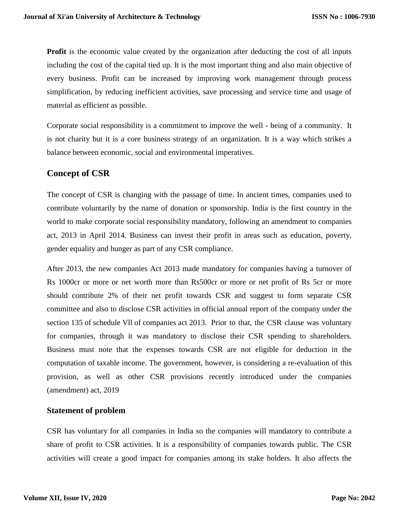**Profit** is the economic value created by the organization after deducting the cost of all inputs including the cost of the capital tied up. It is the most important thing and also main objective of every business. Profit can be increased by improving work management through process simplification, by reducing inefficient activities, save processing and service time and usage of material as efficient as possible.

Corporate social responsibility is a commitment to improve the well - being of a community. It is not charity but it is a core business strategy of an organization. It is a way which strikes a balance between economic, social and environmental imperatives.

# **Concept of CSR**

The concept of CSR is changing with the passage of time. In ancient times, companies used to contribute voluntarily by the name of donation or sponsorship. India is the first country in the world to make corporate social responsibility mandatory, following an amendment to companies act, 2013 in April 2014. Business can invest their profit in areas such as education, poverty, gender equality and hunger as part of any CSR compliance.

After 2013, the new companies Act 2013 made mandatory for companies having a turnover of Rs 1000cr or more or net worth more than Rs500cr or more or net profit of Rs 5cr or more should contribute 2% of their net profit towards CSR and suggest to form separate CSR committee and also to disclose CSR activities in official annual report of the company under the section 135 of schedule Vll of companies act 2013. Prior to that, the CSR clause was voluntary for companies, through it was mandatory to disclose their CSR spending to shareholders. Business must note that the expenses towards CSR are not eligible for deduction in the computation of taxable income. The government, however, is considering a re-evaluation of this provision, as well as other CSR provisions recently introduced under the companies (amendment) act, 2019

# **Statement of problem**

CSR has voluntary for all companies in India so the companies will mandatory to contribute a share of profit to CSR activities. It is a responsibility of companies towards public. The CSR activities will create a good impact for companies among its stake holders. It also affects the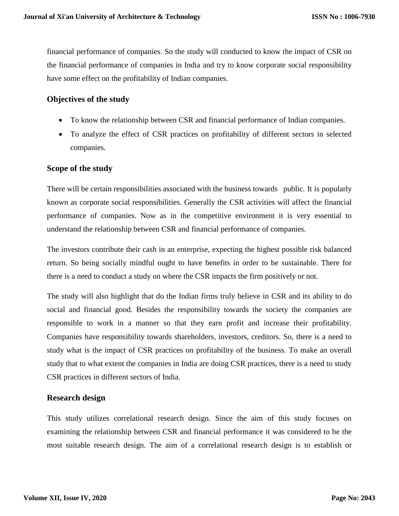financial performance of companies. So the study will conducted to know the impact of CSR on the financial performance of companies in India and try to know corporate social responsibility have some effect on the profitability of Indian companies.

#### **Objectives of the study**

- To know the relationship between CSR and financial performance of Indian companies.
- To analyze the effect of CSR practices on profitability of different sectors in selected companies.

#### **Scope of the study**

There will be certain responsibilities associated with the business towards public. It is popularly known as corporate social responsibilities. Generally the CSR activities will affect the financial performance of companies. Now as in the competitive environment it is very essential to understand the relationship between CSR and financial performance of companies.

The investors contribute their cash in an enterprise, expecting the highest possible risk balanced return. So being socially mindful ought to have benefits in order to be sustainable. There for there is a need to conduct a study on where the CSR impacts the firm positively or not.

The study will also highlight that do the Indian firms truly believe in CSR and its ability to do social and financial good. Besides the responsibility towards the society the companies are responsible to work in a manner so that they earn profit and increase their profitability. Companies have responsibility towards shareholders, investors, creditors. So, there is a need to study what is the impact of CSR practices on profitability of the business. To make an overall study that to what extent the companies in India are doing CSR practices, there is a need to study CSR practices in different sectors of India.

#### **Research design**

This study utilizes correlational research design. Since the aim of this study focuses on examining the relationship between CSR and financial performance it was considered to be the most suitable research design. The aim of a correlational research design is to establish or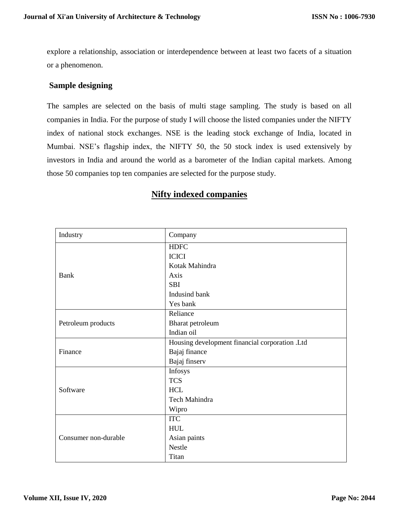explore a relationship, association or interdependence between at least two facets of a situation or a phenomenon.

#### **Sample designing**

The samples are selected on the basis of multi stage sampling. The study is based on all companies in India. For the purpose of study I will choose the listed companies under the NIFTY index of national stock exchanges. NSE is the leading stock exchange of India, located in Mumbai. NSE's flagship index, the NIFTY 50, the 50 stock index is used extensively by investors in India and around the world as a barometer of the Indian capital markets. Among those 50 companies top ten companies are selected for the purpose study.

|  |  |  | <b>Nifty indexed companies</b> |
|--|--|--|--------------------------------|
|--|--|--|--------------------------------|

| Industry             | Company                                        |
|----------------------|------------------------------------------------|
|                      | <b>HDFC</b>                                    |
|                      | <b>ICICI</b>                                   |
|                      | Kotak Mahindra                                 |
| <b>Bank</b>          | Axis                                           |
|                      | <b>SBI</b>                                     |
|                      | Indusind bank                                  |
|                      | Yes bank                                       |
|                      | Reliance                                       |
| Petroleum products   | Bharat petroleum                               |
|                      | Indian oil                                     |
|                      | Housing development financial corporation .Ltd |
| Finance              | Bajaj finance                                  |
|                      | Bajaj finserv                                  |
|                      | Infosys                                        |
|                      | <b>TCS</b>                                     |
| Software             | <b>HCL</b>                                     |
|                      | Tech Mahindra                                  |
|                      | Wipro                                          |
|                      | <b>ITC</b>                                     |
|                      | <b>HUL</b>                                     |
| Consumer non-durable | Asian paints                                   |
|                      | <b>Nestle</b>                                  |
|                      | Titan                                          |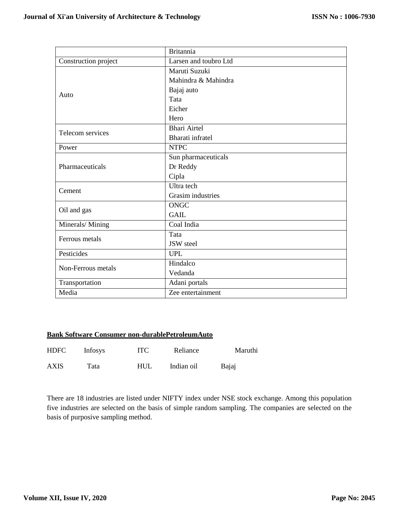|                      | <b>Britannia</b>      |
|----------------------|-----------------------|
| Construction project | Larsen and toubro Ltd |
|                      | Maruti Suzuki         |
|                      | Mahindra & Mahindra   |
| Auto                 | Bajaj auto            |
|                      | Tata                  |
|                      | Eicher                |
|                      | Hero                  |
| Telecom services     | <b>Bhari Airtel</b>   |
|                      | Bharati infratel      |
| Power                | <b>NTPC</b>           |
|                      | Sun pharmaceuticals   |
| Pharmaceuticals      | Dr Reddy              |
|                      | Cipla                 |
| Cement               | Ultra tech            |
|                      | Grasim industries     |
| Oil and gas          | <b>ONGC</b>           |
|                      | <b>GAIL</b>           |
| Minerals/Mining      | Coal India            |
| Ferrous metals       | Tata                  |
|                      | JSW steel             |
| Pesticides           | <b>UPL</b>            |
| Non-Ferrous metals   | Hindalco              |
|                      | Vedanda               |
| Transportation       | Adani portals         |
| Media                | Zee entertainment     |

#### **Bank Software Consumer non-durablePetroleumAuto**

| <b>HDFC</b> | <b>Infosys</b> | <b>ITC</b> | Reliance   | Maruthi |
|-------------|----------------|------------|------------|---------|
| <b>AXIS</b> | Tata           | <b>HUL</b> | Indian oil | Bajaj   |

There are 18 industries are listed under NIFTY index under NSE stock exchange. Among this population five industries are selected on the basis of simple random sampling. The companies are selected on the basis of purposive sampling method.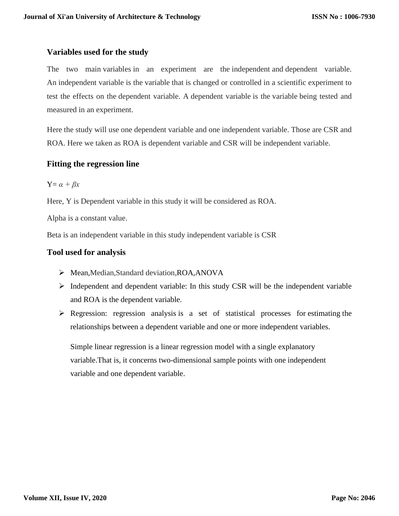# **Variables used for the study**

The two main variables in an experiment are the independent and dependent variable. An independent variable is the variable that is changed or controlled in a scientific experiment to test the effects on the dependent variable. A dependent variable is the variable being tested and measured in an experiment.

Here the study will use one dependent variable and one independent variable. Those are CSR and ROA. Here we taken as ROA is dependent variable and CSR will be independent variable.

# **Fitting the regression line**

$$
Y = \alpha + \beta x
$$

Here, Y is Dependent variable in this study it will be considered as ROA.

Alpha is a constant value.

Beta is an independent variable in this study independent variable is CSR

# **Tool used for analysis**

- Mean,Median,Standard deviation,ROA,ANOVA
- $\triangleright$  Independent and dependent variable: In this study CSR will be the independent variable and ROA is the dependent variable.
- $\triangleright$  Regression: regression analysis is a set of statistical processes for estimating the relationships between a dependent variable and one or more independent variables.

Simple linear regression is a linear regression model with a single explanatory variable.That is, it concerns two-dimensional sample points with one independent variable and one dependent variable.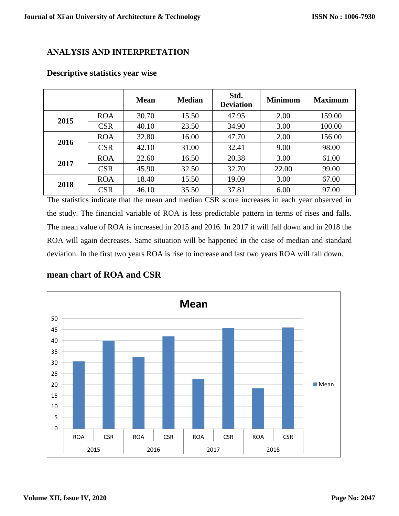# **ANALYSIS AND INTERPRETATION**

|      |            | <b>Mean</b> | <b>Median</b> | Std.<br><b>Deviation</b> | <b>Minimum</b> | <b>Maximum</b> |
|------|------------|-------------|---------------|--------------------------|----------------|----------------|
| 2015 | <b>ROA</b> | 30.70       | 15.50         | 47.95                    | 2.00           | 159.00         |
|      | <b>CSR</b> | 40.10       | 23.50         | 34.90                    | 3.00           | 100.00         |
| 2016 | <b>ROA</b> | 32.80       | 16.00         | 47.70                    | 2.00           | 156.00         |
|      | <b>CSR</b> | 42.10       | 31.00         | 32.41                    | 9.00           | 98.00          |
| 2017 | <b>ROA</b> | 22.60       | 16.50         | 20.38                    | 3.00           | 61.00          |
|      | <b>CSR</b> | 45.90       | 32.50         | 32.70                    | 22.00          | 99.00          |
| 2018 | <b>ROA</b> | 18.40       | 15.50         | 19.09                    | 3.00           | 67.00          |
|      | <b>CSR</b> | 46.10       | 35.50         | 37.81                    | 6.00           | 97.00          |

#### **Descriptive statistics year wise**

The statistics indicate that the mean and median CSR score increases in each year observed in the study. The financial variable of ROA is less predictable pattern in terms of rises and falls. The mean value of ROA is increased in 2015 and 2016. In 2017 it will fall down and in 2018 the ROA will again decreases. Same situation will be happened in the case of median and standard deviation. In the first two years ROA is rise to increase and last two years ROA will fall down.

# **mean chart of ROA and CSR**

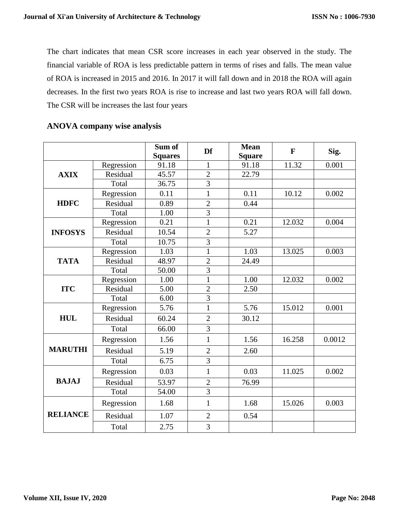The chart indicates that mean CSR score increases in each year observed in the study. The financial variable of ROA is less predictable pattern in terms of rises and falls. The mean value of ROA is increased in 2015 and 2016. In 2017 it will fall down and in 2018 the ROA will again decreases. In the first two years ROA is rise to increase and last two years ROA will fall down. The CSR will be increases the last four years

|                 |            | Sum of<br><b>Squares</b> | Df             | <b>Mean</b><br><b>Square</b> | $\mathbf{F}$ | Sig.   |
|-----------------|------------|--------------------------|----------------|------------------------------|--------------|--------|
|                 | Regression | 91.18                    | $\mathbf{1}$   | 91.18                        | 11.32        | 0.001  |
| <b>AXIX</b>     | Residual   | 45.57                    | $\overline{2}$ | 22.79                        |              |        |
|                 | Total      | 36.75                    | $\overline{3}$ |                              |              |        |
|                 | Regression | 0.11                     | $\mathbf{1}$   | 0.11                         | 10.12        | 0.002  |
| <b>HDFC</b>     | Residual   | 0.89                     | $\overline{2}$ | 0.44                         |              |        |
|                 | Total      | 1.00                     | $\overline{3}$ |                              |              |        |
|                 | Regression | 0.21                     | $\mathbf{1}$   | 0.21                         | 12.032       | 0.004  |
| <b>INFOSYS</b>  | Residual   | 10.54                    | $\overline{2}$ | 5.27                         |              |        |
|                 | Total      | 10.75                    | $\overline{3}$ |                              |              |        |
|                 | Regression | 1.03                     | $\mathbf{1}$   | 1.03                         | 13.025       | 0.003  |
| <b>TATA</b>     | Residual   | 48.97                    | $\sqrt{2}$     | 24.49                        |              |        |
|                 | Total      | 50.00                    | $\overline{3}$ |                              |              |        |
|                 | Regression | 1.00                     | $\mathbf{1}$   | 1.00                         | 12.032       | 0.002  |
| <b>ITC</b>      | Residual   | 5.00                     | $\overline{2}$ | 2.50                         |              |        |
|                 | Total      | 6.00                     | $\overline{3}$ |                              |              |        |
|                 | Regression | 5.76                     | $\mathbf{1}$   | 5.76                         | 15.012       | 0.001  |
| <b>HUL</b>      | Residual   | 60.24                    | $\overline{2}$ | 30.12                        |              |        |
|                 | Total      | 66.00                    | $\overline{3}$ |                              |              |        |
|                 | Regression | 1.56                     | $\mathbf{1}$   | 1.56                         | 16.258       | 0.0012 |
| <b>MARUTHI</b>  | Residual   | 5.19                     | $\overline{2}$ | 2.60                         |              |        |
|                 | Total      | 6.75                     | $\overline{3}$ |                              |              |        |
|                 | Regression | 0.03                     | $\mathbf{1}$   | 0.03                         | 11.025       | 0.002  |
| <b>BAJAJ</b>    | Residual   | 53.97                    | $\overline{2}$ | 76.99                        |              |        |
|                 | Total      | 54.00                    | $\overline{3}$ |                              |              |        |
|                 | Regression | 1.68                     | $\mathbf{1}$   | 1.68                         | 15.026       | 0.003  |
| <b>RELIANCE</b> | Residual   | 1.07                     | $\overline{2}$ | 0.54                         |              |        |
|                 | Total      | 2.75                     | 3              |                              |              |        |

# **ANOVA company wise analysis**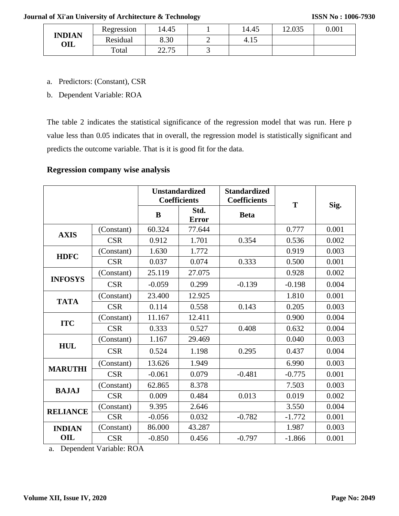#### **Journal of Xi'an University of Architecture & Technology**

|                                 | Regression | 14.45            |   | 14.45 | 12.035 | 0.001 |
|---------------------------------|------------|------------------|---|-------|--------|-------|
| <b>INDIAN</b><br>$\mathbf{OIL}$ | Residual   | 8.30             |   | 4.I.  |        |       |
|                                 | Total      | אד רר<br>ل ا مصد | ີ |       |        |       |

a. Predictors: (Constant), CSR

b. Dependent Variable: ROA

The table 2 indicates the statistical significance of the regression model that was run. Here p value less than 0.05 indicates that in overall, the regression model is statistically significant and predicts the outcome variable. That is it is good fit for the data.

# **Regression company wise analysis**

|                 |            |          | <b>Unstandardized</b><br><b>Coefficients</b> | <b>Standardized</b><br><b>Coefficients</b> | T        | Sig.  |
|-----------------|------------|----------|----------------------------------------------|--------------------------------------------|----------|-------|
|                 |            | B        | Std.<br><b>Error</b>                         | <b>Beta</b>                                |          |       |
| <b>AXIS</b>     | (Constant) | 60.324   | 77.644                                       |                                            | 0.777    | 0.001 |
|                 | <b>CSR</b> | 0.912    | 1.701                                        | 0.354                                      | 0.536    | 0.002 |
| <b>HDFC</b>     | (Constant) | 1.630    | 1.772                                        |                                            | 0.919    | 0.003 |
|                 | <b>CSR</b> | 0.037    | 0.074                                        | 0.333                                      | 0.500    | 0.001 |
|                 | (Constant) | 25.119   | 27.075                                       |                                            | 0.928    | 0.002 |
| <b>INFOSYS</b>  | <b>CSR</b> | $-0.059$ | 0.299                                        | $-0.139$                                   | $-0.198$ | 0.004 |
|                 | (Constant) | 23.400   | 12.925                                       |                                            | 1.810    | 0.001 |
| <b>TATA</b>     | <b>CSR</b> | 0.114    | 0.558                                        | 0.143                                      | 0.205    | 0.003 |
|                 | (Constant) | 11.167   | 12.411                                       |                                            | 0.900    | 0.004 |
| <b>ITC</b>      | <b>CSR</b> | 0.333    | 0.527                                        | 0.408                                      | 0.632    | 0.004 |
|                 | (Constant) | 1.167    | 29.469                                       |                                            | 0.040    | 0.003 |
| <b>HUL</b>      | <b>CSR</b> | 0.524    | 1.198                                        | 0.295                                      | 0.437    | 0.004 |
| <b>MARUTHI</b>  | (Constant) | 13.626   | 1.949                                        |                                            | 6.990    | 0.003 |
|                 | <b>CSR</b> | $-0.061$ | 0.079                                        | $-0.481$                                   | $-0.775$ | 0.001 |
| <b>BAJAJ</b>    | (Constant) | 62.865   | 8.378                                        |                                            | 7.503    | 0.003 |
|                 | <b>CSR</b> | 0.009    | 0.484                                        | 0.013                                      | 0.019    | 0.002 |
| <b>RELIANCE</b> | (Constant) | 9.395    | 2.646                                        |                                            | 3.550    | 0.004 |
|                 | <b>CSR</b> | $-0.056$ | 0.032                                        | $-0.782$                                   | $-1.772$ | 0.001 |
| <b>INDIAN</b>   | (Constant) | 86.000   | 43.287                                       |                                            | 1.987    | 0.003 |
| OIL             | <b>CSR</b> | $-0.850$ | 0.456                                        | $-0.797$                                   | $-1.866$ | 0.001 |

a. Dependent Variable: ROA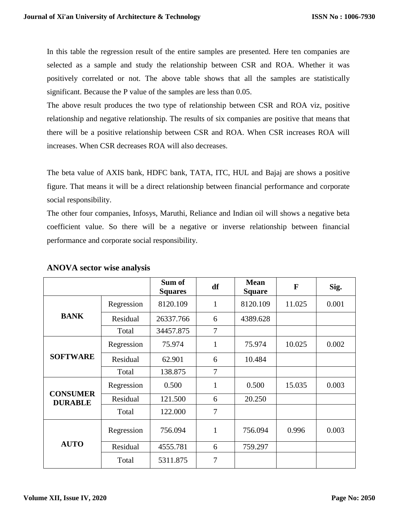In this table the regression result of the entire samples are presented. Here ten companies are selected as a sample and study the relationship between CSR and ROA. Whether it was positively correlated or not. The above table shows that all the samples are statistically significant. Because the P value of the samples are less than 0.05.

The above result produces the two type of relationship between CSR and ROA viz, positive relationship and negative relationship. The results of six companies are positive that means that there will be a positive relationship between CSR and ROA. When CSR increases ROA will increases. When CSR decreases ROA will also decreases.

The beta value of AXIS bank, HDFC bank, TATA, ITC, HUL and Bajaj are shows a positive figure. That means it will be a direct relationship between financial performance and corporate social responsibility.

The other four companies, Infosys, Maruthi, Reliance and Indian oil will shows a negative beta coefficient value. So there will be a negative or inverse relationship between financial performance and corporate social responsibility.

|                 |            | Sum of<br><b>Squares</b> | df             | <b>Mean</b><br><b>Square</b> | $\mathbf{F}$ | Sig.  |
|-----------------|------------|--------------------------|----------------|------------------------------|--------------|-------|
|                 | Regression | 8120.109                 | 1              | 8120.109                     | 11.025       | 0.001 |
| <b>BANK</b>     | Residual   | 26337.766                | 6              | 4389.628                     |              |       |
|                 | Total      | 34457.875                | 7              |                              |              |       |
|                 | Regression | 75.974                   | $\mathbf{1}$   | 75.974                       | 10.025       | 0.002 |
| <b>SOFTWARE</b> | Residual   | 62.901                   | 6              | 10.484                       |              |       |
|                 | Total      | 138.875                  | 7              |                              |              |       |
| <b>CONSUMER</b> | Regression | 0.500                    | $\mathbf{1}$   | 0.500                        | 15.035       | 0.003 |
| <b>DURABLE</b>  | Residual   | 121.500                  | 6              | 20.250                       |              |       |
|                 | Total      | 122.000                  | 7              |                              |              |       |
|                 | Regression | 756.094                  | $\mathbf{1}$   | 756.094                      | 0.996        | 0.003 |
| <b>AUTO</b>     | Residual   | 4555.781                 | 6              | 759.297                      |              |       |
|                 | Total      | 5311.875                 | $\overline{7}$ |                              |              |       |

#### **ANOVA sector wise analysis**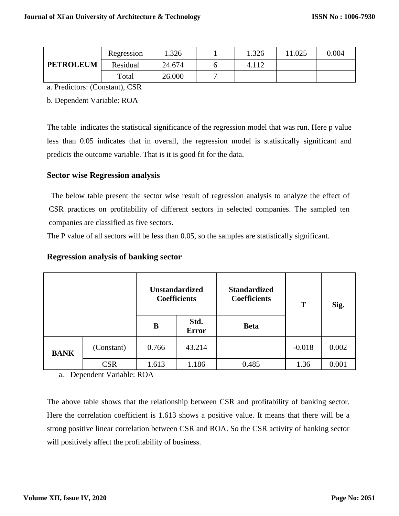|                  | Regression | 1.326  | 1.326 | 1.025 | 0.004 |
|------------------|------------|--------|-------|-------|-------|
| <b>PETROLEUM</b> | Residual   | 24.674 | 4.112 |       |       |
|                  | Total      | 26.000 |       |       |       |

a. Predictors: (Constant), CSR

b. Dependent Variable: ROA

The table indicates the statistical significance of the regression model that was run. Here p value less than 0.05 indicates that in overall, the regression model is statistically significant and predicts the outcome variable. That is it is good fit for the data.

#### **Sector wise Regression analysis**

The below table present the sector wise result of regression analysis to analyze the effect of CSR practices on profitability of different sectors in selected companies. The sampled ten companies are classified as five sectors.

The P value of all sectors will be less than 0.05, so the samples are statistically significant.

#### **Regression analysis of banking sector**

|             |            |       | <b>Unstandardized</b><br><b>Coefficients</b> | <b>Standardized</b><br><b>Coefficients</b> | T        | Sig.  |
|-------------|------------|-------|----------------------------------------------|--------------------------------------------|----------|-------|
|             |            | B     | Std.<br><b>Error</b>                         | <b>Beta</b>                                |          |       |
| <b>BANK</b> | (Constant) | 0.766 | 43.214                                       |                                            | $-0.018$ | 0.002 |
|             | <b>CSR</b> | 1.613 | 1.186                                        | 0.485                                      | 1.36     | 0.001 |

a. Dependent Variable: ROA

The above table shows that the relationship between CSR and profitability of banking sector. Here the correlation coefficient is 1.613 shows a positive value. It means that there will be a strong positive linear correlation between CSR and ROA. So the CSR activity of banking sector will positively affect the profitability of business.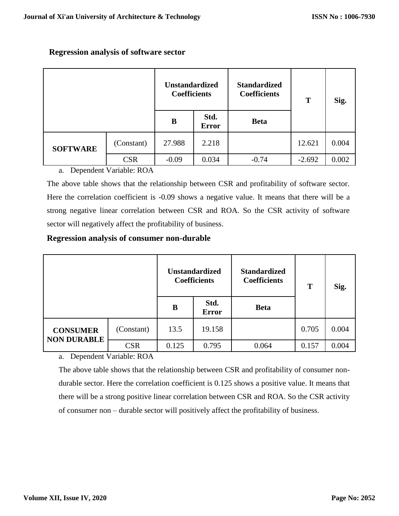|                 |            | <b>Unstandardized</b><br><b>Coefficients</b> |                      | <b>Standardized</b><br><b>Coefficients</b> | T        | Sig.  |
|-----------------|------------|----------------------------------------------|----------------------|--------------------------------------------|----------|-------|
|                 |            | B                                            | Std.<br><b>Error</b> | <b>Beta</b>                                |          |       |
| <b>SOFTWARE</b> | (Constant) | 27.988                                       | 2.218                |                                            | 12.621   | 0.004 |
|                 | <b>CSR</b> | $-0.09$                                      | 0.034                | $-0.74$                                    | $-2.692$ | 0.002 |

# **Regression analysis of software sector**

a. Dependent Variable: ROA

The above table shows that the relationship between CSR and profitability of software sector. Here the correlation coefficient is -0.09 shows a negative value. It means that there will be a strong negative linear correlation between CSR and ROA. So the CSR activity of software sector will negatively affect the profitability of business.

# **Regression analysis of consumer non-durable**

|                                       |            | <b>Unstandardized</b><br><b>Coefficients</b> |                      | <b>Standardized</b><br><b>Coefficients</b> | T     | Sig.  |
|---------------------------------------|------------|----------------------------------------------|----------------------|--------------------------------------------|-------|-------|
|                                       |            | B                                            | Std.<br><b>Error</b> | <b>Beta</b>                                |       |       |
| <b>CONSUMER</b><br><b>NON DURABLE</b> | (Constant) | 13.5                                         | 19.158               |                                            | 0.705 | 0.004 |
|                                       | <b>CSR</b> | 0.125                                        | 0.795                | 0.064                                      | 0.157 | 0.004 |

a. Dependent Variable: ROA

The above table shows that the relationship between CSR and profitability of consumer nondurable sector. Here the correlation coefficient is 0.125 shows a positive value. It means that there will be a strong positive linear correlation between CSR and ROA. So the CSR activity of consumer non – durable sector will positively affect the profitability of business.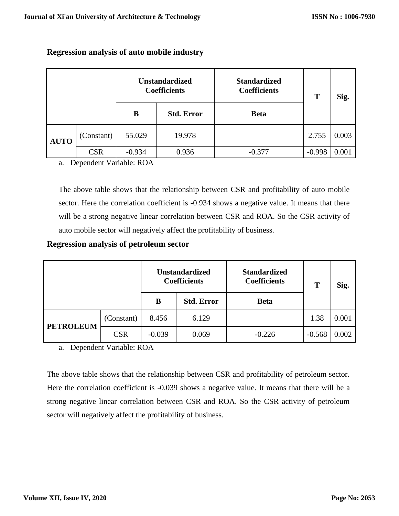|             |            | <b>Unstandardized</b><br><b>Coefficients</b> |                   | <b>Standardized</b><br><b>Coefficients</b> | T        | Sig.  |
|-------------|------------|----------------------------------------------|-------------------|--------------------------------------------|----------|-------|
|             |            | B                                            | <b>Std. Error</b> | <b>Beta</b>                                |          |       |
| <b>AUTO</b> | (Constant) | 55.029                                       | 19.978            |                                            | 2.755    | 0.003 |
|             | <b>CSR</b> | $-0.934$                                     | 0.936             | $-0.377$                                   | $-0.998$ | 0.001 |

# **Regression analysis of auto mobile industry**

a. Dependent Variable: ROA

The above table shows that the relationship between CSR and profitability of auto mobile sector. Here the correlation coefficient is -0.934 shows a negative value. It means that there will be a strong negative linear correlation between CSR and ROA. So the CSR activity of auto mobile sector will negatively affect the profitability of business.

#### **Regression analysis of petroleum sector**

|                  |            |          | <b>Unstandardized</b><br><b>Coefficients</b> | <b>Standardized</b><br><b>Coefficients</b> | T        | Sig.  |
|------------------|------------|----------|----------------------------------------------|--------------------------------------------|----------|-------|
|                  |            | B        | <b>Std. Error</b>                            | <b>Beta</b>                                |          |       |
| <b>PETROLEUM</b> | (Constant) | 8.456    | 6.129                                        |                                            | 1.38     | 0.001 |
|                  | <b>CSR</b> | $-0.039$ | 0.069                                        | $-0.226$                                   | $-0.568$ | 0.002 |

a. Dependent Variable: ROA

The above table shows that the relationship between CSR and profitability of petroleum sector. Here the correlation coefficient is -0.039 shows a negative value. It means that there will be a strong negative linear correlation between CSR and ROA. So the CSR activity of petroleum sector will negatively affect the profitability of business.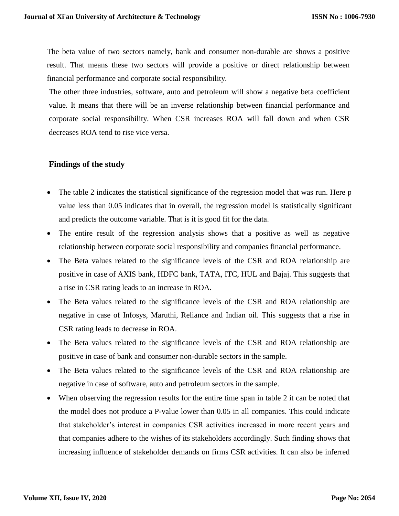The beta value of two sectors namely, bank and consumer non-durable are shows a positive result. That means these two sectors will provide a positive or direct relationship between financial performance and corporate social responsibility.

The other three industries, software, auto and petroleum will show a negative beta coefficient value. It means that there will be an inverse relationship between financial performance and corporate social responsibility. When CSR increases ROA will fall down and when CSR decreases ROA tend to rise vice versa.

#### **Findings of the study**

- The table 2 indicates the statistical significance of the regression model that was run. Here p value less than 0.05 indicates that in overall, the regression model is statistically significant and predicts the outcome variable. That is it is good fit for the data.
- The entire result of the regression analysis shows that a positive as well as negative relationship between corporate social responsibility and companies financial performance.
- The Beta values related to the significance levels of the CSR and ROA relationship are positive in case of AXIS bank, HDFC bank, TATA, ITC, HUL and Bajaj. This suggests that a rise in CSR rating leads to an increase in ROA.
- The Beta values related to the significance levels of the CSR and ROA relationship are negative in case of Infosys, Maruthi, Reliance and Indian oil. This suggests that a rise in CSR rating leads to decrease in ROA.
- The Beta values related to the significance levels of the CSR and ROA relationship are positive in case of bank and consumer non-durable sectors in the sample.
- The Beta values related to the significance levels of the CSR and ROA relationship are negative in case of software, auto and petroleum sectors in the sample.
- When observing the regression results for the entire time span in table 2 it can be noted that the model does not produce a P-value lower than 0.05 in all companies. This could indicate that stakeholder's interest in companies CSR activities increased in more recent years and that companies adhere to the wishes of its stakeholders accordingly. Such finding shows that increasing influence of stakeholder demands on firms CSR activities. It can also be inferred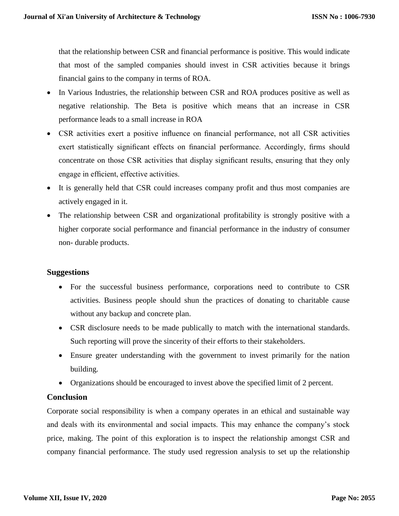that the relationship between CSR and financial performance is positive. This would indicate that most of the sampled companies should invest in CSR activities because it brings financial gains to the company in terms of ROA.

- In Various Industries, the relationship between CSR and ROA produces positive as well as negative relationship. The Beta is positive which means that an increase in CSR performance leads to a small increase in ROA
- CSR activities exert a positive influence on financial performance, not all CSR activities exert statistically significant effects on financial performance. Accordingly, firms should concentrate on those CSR activities that display significant results, ensuring that they only engage in efficient, effective activities.
- It is generally held that CSR could increases company profit and thus most companies are actively engaged in it.
- The relationship between CSR and organizational profitability is strongly positive with a higher corporate social performance and financial performance in the industry of consumer non- durable products.

# **Suggestions**

- For the successful business performance, corporations need to contribute to CSR activities. Business people should shun the practices of donating to charitable cause without any backup and concrete plan.
- CSR disclosure needs to be made publically to match with the international standards. Such reporting will prove the sincerity of their efforts to their stakeholders.
- Ensure greater understanding with the government to invest primarily for the nation building.
- Organizations should be encouraged to invest above the specified limit of 2 percent.

# **Conclusion**

Corporate social responsibility is when a company operates in an ethical and sustainable way and deals with its environmental and social impacts. This may enhance the company's stock price, making. The point of this exploration is to inspect the relationship amongst CSR and company financial performance. The study used regression analysis to set up the relationship